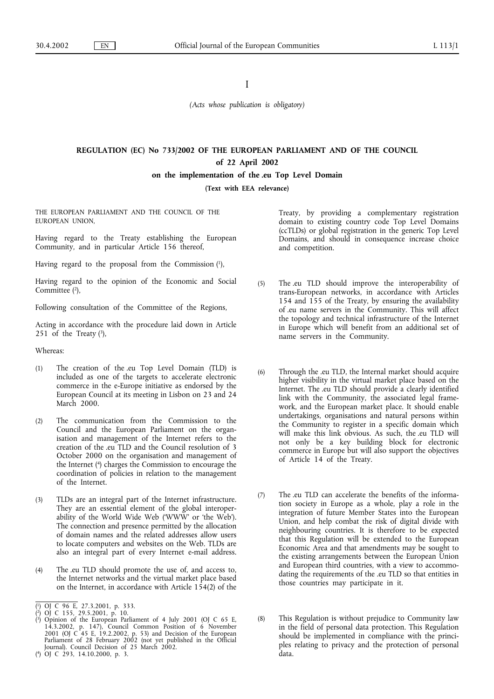# I

*(Acts whose publication is obligatory)*

# **REGULATION (EC) No 733/2002 OF THE EUROPEAN PARLIAMENT AND OF THE COUNCIL of 22 April 2002 on the implementation of the .eu Top Level Domain**

(Text with EEA relevance)

THE EUROPEAN PARLIAMENT AND THE COUNCIL OF THE EUROPEAN UNION,

Having regard to the Treaty establishing the European Community, and in particular Article 156 thereof,

Having regard to the proposal from the Commission  $(1)$ ,

Having regard to the opinion of the Economic and Social Committee  $(2)$ ,

Following consultation of the Committee of the Regions,

Acting in accordance with the procedure laid down in Article 251 of the Treaty  $(3)$ ,

Whereas:

- (1) The creation of the .eu Top Level Domain (TLD) is included as one of the targets to accelerate electronic commerce in the e-Europe initiative as endorsed by the European Council at its meeting in Lisbon on 23 and 24 March 2000.
- (2) The communication from the Commission to the Council and the European Parliament on the organisation and management of the Internet refers to the creation of the .eu TLD and the Council resolution of 3 October 2000 on the organisation and management of the Internet (4) charges the Commission to encourage the coordination of policies in relation to the management of the Internet.
- (3) TLDs are an integral part of the Internet infrastructure. They are an essential element of the global interoperability of the World Wide Web ('WWW' or 'the Web'). The connection and presence permitted by the allocation of domain names and the related addresses allow users to locate computers and websites on the Web. TLDs are also an integral part of every Internet e-mail address.
- (4) The .eu TLD should promote the use of, and access to, the Internet networks and the virtual market place based on the Internet, in accordance with Article  $1\bar{5}4(2)$  of the

( 4) OJ C 293, 14.10.2000, p. 3.

Treaty, by providing a complementary registration domain to existing country code Top Level Domains (ccTLDs) or global registration in the generic Top Level Domains, and should in consequence increase choice and competition.

- (5) The .eu TLD should improve the interoperability of trans-European networks, in accordance with Articles 154 and 155 of the Treaty, by ensuring the availability of .eu name servers in the Community. This will affect the topology and technical infrastructure of the Internet in Europe which will benefit from an additional set of name servers in the Community.
- (6) Through the .eu TLD, the Internal market should acquire higher visibility in the virtual market place based on the Internet. The .eu TLD should provide a clearly identified link with the Community, the associated legal framework, and the European market place. It should enable undertakings, organisations and natural persons within the Community to register in a specific domain which will make this link obvious. As such, the .eu TLD will not only be a key building block for electronic commerce in Europe but will also support the objectives of Article 14 of the Treaty.
- (7) The .eu TLD can accelerate the benefits of the information society in Europe as a whole, play a role in the integration of future Member States into the European Union, and help combat the risk of digital divide with neighbouring countries. It is therefore to be expected that this Regulation will be extended to the European Economic Area and that amendments may be sought to the existing arrangements between the European Union and European third countries, with a view to accommodating the requirements of the .eu TLD so that entities in those countries may participate in it.
- (8) This Regulation is without prejudice to Community law in the field of personal data protection. This Regulation should be implemented in compliance with the principles relating to privacy and the protection of personal data.

<sup>(</sup> 1) OJ C 96 E, 27.3.2001, p. 333.

<sup>(</sup> 2) OJ C 155, 29.5.2001, p. 10.

<sup>(</sup> 3) Opinion of the European Parliament of 4 July 2001 (OJ C 65 E, 14.3.2002, p. 147), Council Common Position of 6 November 2001 (OJ C 45 E, 19.2.2002, p. 53) and Decision of the European Parliament of 28 February 2002 (not yet published in the Official Journal). Council Decision of 25 March 2002.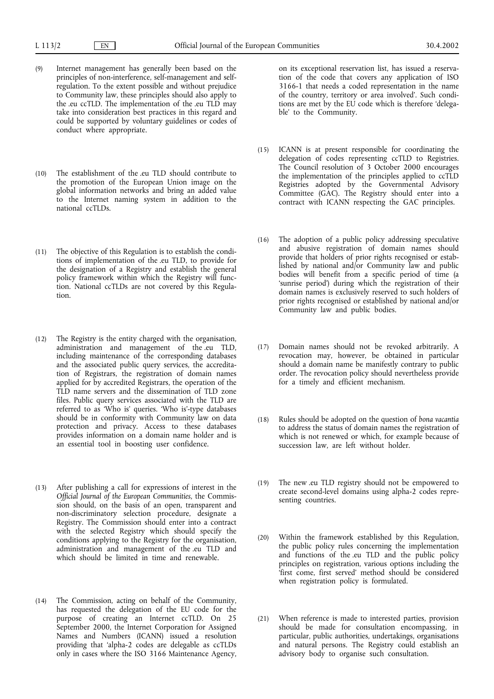- (9) Internet management has generally been based on the principles of non-interference, self-management and selfregulation. To the extent possible and without prejudice to Community law, these principles should also apply to the .eu ccTLD. The implementation of the .eu TLD may take into consideration best practices in this regard and could be supported by voluntary guidelines or codes of conduct where appropriate.
- (10) The establishment of the .eu TLD should contribute to the promotion of the European Union image on the global information networks and bring an added value to the Internet naming system in addition to the national ccTLDs.
- (11) The objective of this Regulation is to establish the conditions of implementation of the .eu TLD, to provide for the designation of a Registry and establish the general policy framework within which the Registry will function. National ccTLDs are not covered by this Regulation.
- (12) The Registry is the entity charged with the organisation, administration and management of the .eu TLD, including maintenance of the corresponding databases and the associated public query services, the accreditation of Registrars, the registration of domain names applied for by accredited Registrars, the operation of the TLD name servers and the dissemination of TLD zone files. Public query services associated with the TLD are referred to as 'Who is' queries. 'Who is'-type databases should be in conformity with Community law on data protection and privacy. Access to these databases provides information on a domain name holder and is an essential tool in boosting user confidence.
- (13) After publishing a call for expressions of interest in the *Official Journal of the European Communities*, the Commission should, on the basis of an open, transparent and non-discriminatory selection procedure, designate a Registry. The Commission should enter into a contract with the selected Registry which should specify the conditions applying to the Registry for the organisation, administration and management of the .eu TLD and which should be limited in time and renewable.
- (14) The Commission, acting on behalf of the Community, has requested the delegation of the EU code for the purpose of creating an Internet ccTLD. On 25 September 2000, the Internet Corporation for Assigned Names and Numbers (ICANN) issued a resolution providing that 'alpha-2 codes are delegable as ccTLDs only in cases where the ISO 3166 Maintenance Agency,

on its exceptional reservation list, has issued a reservation of the code that covers any application of ISO 3166-1 that needs a coded representation in the name of the country, territory or area involved'. Such conditions are met by the EU code which is therefore 'delegable' to the Community.

- (15) ICANN is at present responsible for coordinating the delegation of codes representing ccTLD to Registries. The Council resolution of 3 October 2000 encourages the implementation of the principles applied to ccTLD Registries adopted by the Governmental Advisory Committee (GAC). The Registry should enter into a contract with ICANN respecting the GAC principles.
- (16) The adoption of a public policy addressing speculative and abusive registration of domain names should provide that holders of prior rights recognised or established by national and/or Community law and public bodies will benefit from a specific period of time (a 'sunrise period') during which the registration of their domain names is exclusively reserved to such holders of prior rights recognised or established by national and/or Community law and public bodies.
- (17) Domain names should not be revoked arbitrarily. A revocation may, however, be obtained in particular should a domain name be manifestly contrary to public order. The revocation policy should nevertheless provide for a timely and efficient mechanism.
- (18) Rules should be adopted on the question of *bona vacantia* to address the status of domain names the registration of which is not renewed or which, for example because of succession law, are left without holder.
- (19) The new .eu TLD registry should not be empowered to create second-level domains using alpha-2 codes representing countries.
- (20) Within the framework established by this Regulation, the public policy rules concerning the implementation and functions of the .eu TLD and the public policy principles on registration, various options including the 'first come, first served' method should be considered when registration policy is formulated.
- (21) When reference is made to interested parties, provision should be made for consultation encompassing, in particular, public authorities, undertakings, organisations and natural persons. The Registry could establish an advisory body to organise such consultation.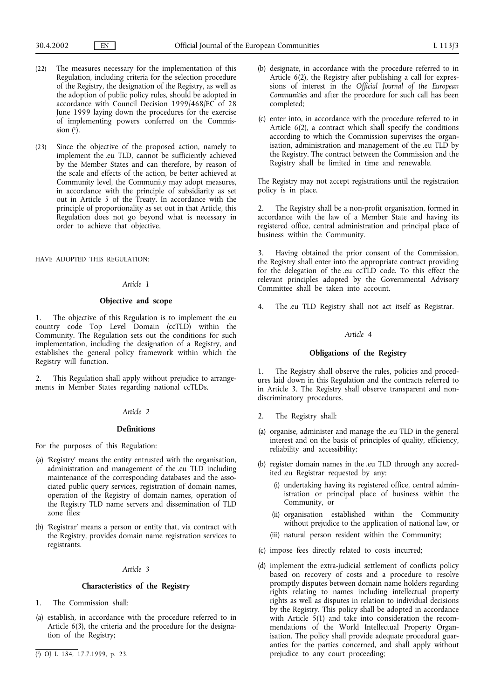- (22) The measures necessary for the implementation of this Regulation, including criteria for the selection procedure of the Registry, the designation of the Registry, as well as the adoption of public policy rules, should be adopted in accordance with Council Decision 1999/468/EC of 28 June 1999 laying down the procedures for the exercise of implementing powers conferred on the Commission  $(1)$ .
- (23) Since the objective of the proposed action, namely to implement the .eu TLD, cannot be sufficiently achieved by the Member States and can therefore, by reason of the scale and effects of the action, be better achieved at Community level, the Community may adopt measures, in accordance with the principle of subsidiarity as set out in Article 5 of the Treaty. In accordance with the principle of proportionality as set out in that Article, this Regulation does not go beyond what is necessary in order to achieve that objective,

HAVE ADOPTED THIS REGULATION:

#### *Article 1*

#### **Objective and scope**

1. The objective of this Regulation is to implement the .eu country code Top Level Domain (ccTLD) within the Community. The Regulation sets out the conditions for such implementation, including the designation of a Registry, and establishes the general policy framework within which the Registry will function.

2. This Regulation shall apply without prejudice to arrangements in Member States regarding national ccTLDs.

### *Article 2*

# **Definitions**

For the purposes of this Regulation:

- (a) 'Registry' means the entity entrusted with the organisation, administration and management of the .eu TLD including maintenance of the corresponding databases and the associated public query services, registration of domain names, operation of the Registry of domain names, operation of the Registry TLD name servers and dissemination of TLD zone files;
- (b) 'Registrar' means a person or entity that, via contract with the Registry, provides domain name registration services to registrants.

# *Article 3*

# **Characteristics of the Registry**

- 1. The Commission shall:
- (a) establish, in accordance with the procedure referred to in Article 6(3), the criteria and the procedure for the designation of the Registry;
- 
- (b) designate, in accordance with the procedure referred to in Article 6(2), the Registry after publishing a call for expressions of interest in the *Official Journal of the European Communities* and after the procedure for such call has been completed;
- (c) enter into, in accordance with the procedure referred to in Article 6(2), a contract which shall specify the conditions according to which the Commission supervises the organisation, administration and management of the .eu TLD by the Registry. The contract between the Commission and the Registry shall be limited in time and renewable.

The Registry may not accept registrations until the registration policy is in place.

2. The Registry shall be a non-profit organisation, formed in accordance with the law of a Member State and having its registered office, central administration and principal place of business within the Community.

3. Having obtained the prior consent of the Commission, the Registry shall enter into the appropriate contract providing for the delegation of the .eu ccTLD code. To this effect the relevant principles adopted by the Governmental Advisory Committee shall be taken into account.

4. The .eu TLD Registry shall not act itself as Registrar.

# *Article 4*

#### **Obligations of the Registry**

The Registry shall observe the rules, policies and procedures laid down in this Regulation and the contracts referred to in Article 3. The Registry shall observe transparent and nondiscriminatory procedures.

- 2. The Registry shall:
- (a) organise, administer and manage the .eu TLD in the general interest and on the basis of principles of quality, efficiency, reliability and accessibility;
- (b) register domain names in the .eu TLD through any accredited .eu Registrar requested by any:
	- (i) undertaking having its registered office, central administration or principal place of business within the Community, or
	- (ii) organisation established within the Community without prejudice to the application of national law, or
	- (iii) natural person resident within the Community;
- (c) impose fees directly related to costs incurred;
- (d) implement the extra-judicial settlement of conflicts policy based on recovery of costs and a procedure to resolve promptly disputes between domain name holders regarding rights relating to names including intellectual property rights as well as disputes in relation to individual decisions by the Registry. This policy shall be adopted in accordance with Article  $5(1)$  and take into consideration the recommendations of the World Intellectual Property Organisation. The policy shall provide adequate procedural guaranties for the parties concerned, and shall apply without ( $\overline{p}$ ) OJ L 184, 17.7.1999, p. 23. prejudice to any court proceeding;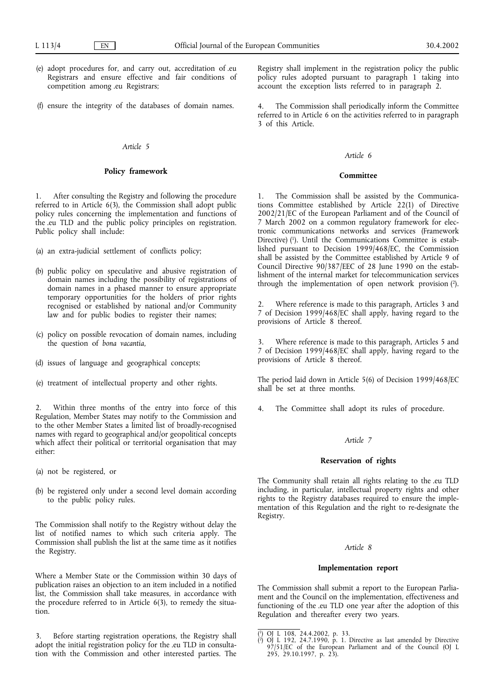- (e) adopt procedures for, and carry out, accreditation of .eu Registrars and ensure effective and fair conditions of competition among .eu Registrars;
- (f) ensure the integrity of the databases of domain names.

#### *Article 5*

# **Policy framework**

1. After consulting the Registry and following the procedure referred to in Article 6(3), the Commission shall adopt public policy rules concerning the implementation and functions of the .eu TLD and the public policy principles on registration. Public policy shall include:

(a) an extra-judicial settlement of conflicts policy;

- (b) public policy on speculative and abusive registration of domain names including the possibility of registrations of domain names in a phased manner to ensure appropriate temporary opportunities for the holders of prior rights recognised or established by national and/or Community law and for public bodies to register their names;
- (c) policy on possible revocation of domain names, including the question of *bona vacantia*,
- (d) issues of language and geographical concepts;
- (e) treatment of intellectual property and other rights.

Within three months of the entry into force of this Regulation, Member States may notify to the Commission and to the other Member States a limited list of broadly-recognised names with regard to geographical and/or geopolitical concepts which affect their political or territorial organisation that may either:

- (a) not be registered, or
- (b) be registered only under a second level domain according to the public policy rules.

The Commission shall notify to the Registry without delay the list of notified names to which such criteria apply. The Commission shall publish the list at the same time as it notifies the Registry.

Where a Member State or the Commission within 30 days of publication raises an objection to an item included in a notified list, the Commission shall take measures, in accordance with the procedure referred to in Article 6(3), to remedy the situation.

3. Before starting registration operations, the Registry shall adopt the initial registration policy for the .eu TLD in consultation with the Commission and other interested parties. The Registry shall implement in the registration policy the public policy rules adopted pursuant to paragraph 1 taking into account the exception lists referred to in paragraph 2.

The Commission shall periodically inform the Committee referred to in Article 6 on the activities referred to in paragraph 3 of this Article.

#### *Article 6*

#### **Committee**

1. The Commission shall be assisted by the Communications Committee established by Article 22(1) of Directive 2002/21/EC of the European Parliament and of the Council of 7 March 2002 on a common regulatory framework for electronic communications networks and services (Framework Directive) (1). Until the Communications Committee is established pursuant to Decision 1999/468/EC, the Commission shall be assisted by the Committee established by Article 9 of Council Directive 90/387/EEC of 28 June 1990 on the establishment of the internal market for telecommunication services through the implementation of open network provision (2).

2. Where reference is made to this paragraph, Articles 3 and 7 of Decision 1999/468/EC shall apply, having regard to the provisions of Article 8 thereof.

3. Where reference is made to this paragraph, Articles 5 and 7 of Decision 1999/468/EC shall apply, having regard to the provisions of Article 8 thereof.

The period laid down in Article 5(6) of Decision 1999/468/EC shall be set at three months.

4. The Committee shall adopt its rules of procedure.

# *Article 7*

# **Reservation of rights**

The Community shall retain all rights relating to the .eu TLD including, in particular, intellectual property rights and other rights to the Registry databases required to ensure the implementation of this Regulation and the right to re-designate the Registry.

#### *Article 8*

### **Implementation report**

The Commission shall submit a report to the European Parliament and the Council on the implementation, effectiveness and functioning of the .eu TLD one year after the adoption of this Regulation and thereafter every two years.

<sup>(</sup> 1) OJ L 108, 24.4.2002, p. 33.

<sup>(</sup> 2) OJ L 192, 24.7.1990, p. 1. Directive as last amended by Directive 97/51/EC of the European Parliament and of the Council (OJ L 295, 29.10.1997, p. 23).